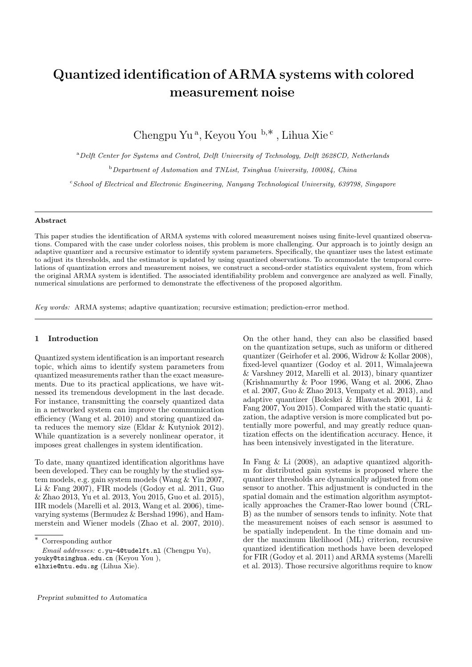# **Quantized identification of ARMA systems with colored measurement noise**

Chengpu Yu <sup>a</sup> , Keyou You <sup>b</sup>*,∗* , Lihua Xie <sup>c</sup>

<sup>a</sup>*Delft Center for Systems and Control, Delft University of Technology, Delft 2628CD, Netherlands* <sup>b</sup>*Department of Automation and TNList, Tsinghua University, 100084, China* <sup>c</sup>*School of Electrical and Electronic Engineering, Nanyang Technological University, 639798, Singapore*

# **Abstract**

This paper studies the identification of ARMA systems with colored measurement noises using finite-level quantized observations. Compared with the case under colorless noises, this problem is more challenging. Our approach is to jointly design an adaptive quantizer and a recursive estimator to identify system parameters. Specifically, the quantizer uses the latest estimate to adjust its thresholds, and the estimator is updated by using quantized observations. To accommodate the temporal correlations of quantization errors and measurement noises, we construct a second-order statistics equivalent system, from which the original ARMA system is identified. The associated identifiability problem and convergence are analyzed as well. Finally, numerical simulations are performed to demonstrate the effectiveness of the proposed algorithm.

*Key words:* ARMA systems; adaptive quantization; recursive estimation; prediction-error method.

#### **1 Introduction**

Quantized system identification is an important research topic, which aims to identify system parameters from quantized measurements rather than the exact measurements. Due to its practical applications, we have witnessed its tremendous development in the last decade. For instance, transmitting the coarsely quantized data in a networked system can improve the communication efficiency (Wang et al. 2010) and storing quantized data reduces the memory size (Eldar & Kutyniok 2012). While quantization is a severely nonlinear operator, it imposes great challenges in system identification.

To date, many quantized identification algorithms have been developed. They can be roughly by the studied system models, e.g. gain system models (Wang & Yin 2007, Li & Fang 2007), FIR models (Godoy et al. 2011, Guo & Zhao 2013, Yu et al. 2013, You 2015, Guo et al. 2015), IIR models (Marelli et al. 2013, Wang et al. 2006), timevarying systems (Bermudez & Bershad 1996), and Hammerstein and Wiener models (Zhao et al. 2007, 2010).

*∗* Corresponding author

*Email addresses:* c.yu-4@tudelft.nl (Chengpu Yu), youky@tsinghua.edu.cn (Keyou You ),

elhxie@ntu.edu.sg (Lihua Xie).

On the other hand, they can also be classified based on the quantization setups, such as uniform or dithered quantizer (Geirhofer et al. 2006, Widrow & Kollar 2008), fixed-level quantizer (Godoy et al. 2011, Wimalajeewa & Varshney 2012, Marelli et al. 2013), binary quantizer (Krishnamurthy & Poor 1996, Wang et al. 2006, Zhao et al. 2007, Guo & Zhao 2013, Vempaty et al. 2013), and adaptive quantizer (Bolcskei & Hlawatsch 2001, Li & Fang 2007, You 2015). Compared with the static quantization, the adaptive version is more complicated but potentially more powerful, and may greatly reduce quantization effects on the identification accuracy. Hence, it has been intensively investigated in the literature.

In Fang & Li (2008), an adaptive quantized algorithm for distributed gain systems is proposed where the quantizer thresholds are dynamically adjusted from one sensor to another. This adjustment is conducted in the spatial domain and the estimation algorithm asymptotically approaches the Cramer-Rao lower bound (CRL-B) as the number of sensors tends to infinity. Note that the measurement noises of each sensor is assumed to be spatially independent. In the time domain and under the maximum likelihood (ML) criterion, recursive quantized identification methods have been developed for FIR (Godoy et al. 2011) and ARMA systems (Marelli et al. 2013). Those recursive algorithms require to know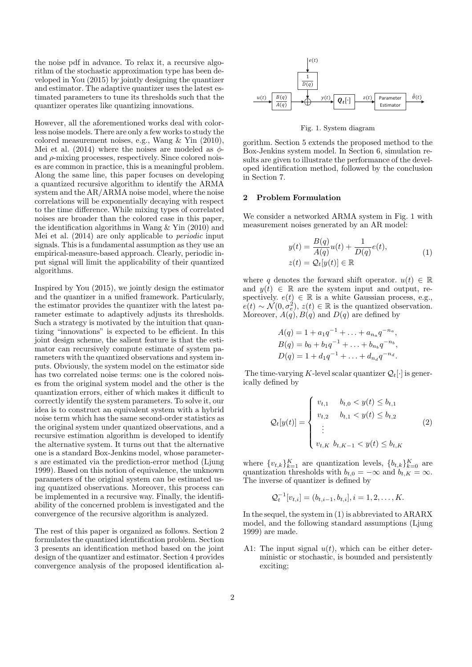the noise pdf in advance. To relax it, a recursive algorithm of the stochastic approximation type has been developed in You (2015) by jointly designing the quantizer and estimator. The adaptive quantizer uses the latest estimated parameters to tune its thresholds such that the quantizer operates like quantizing innovations.

However, all the aforementioned works deal with colorless noise models. There are only a few works to study the colored measurement noises, e.g., Wang & Yin (2010), Mei et al.  $(2014)$  where the noises are modeled as  $\phi$ and *ρ*-mixing processes, respectively. Since colored noises are common in practice, this is a meaningful problem. Along the same line, this paper focuses on developing a quantized recursive algorithm to identify the ARMA system and the AR/ARMA noise model, where the noise correlations will be exponentially decaying with respect to the time difference. While mixing types of correlated noises are broader than the colored case in this paper, the identification algorithms in Wang & Yin (2010) and Mei et al. (2014) are only applicable to *periodic* input signals. This is a fundamental assumption as they use an empirical-measure-based approach. Clearly, periodic input signal will limit the applicability of their quantized algorithms.

Inspired by You (2015), we jointly design the estimator and the quantizer in a unified framework. Particularly, the estimator provides the quantizer with the latest parameter estimate to adaptively adjusts its thresholds. Such a strategy is motivated by the intuition that quantizing "innovations" is expected to be efficient. In this joint design scheme, the salient feature is that the estimator can recursively compute estimate of system parameters with the quantized observations and system inputs. Obviously, the system model on the estimator side has two correlated noise terms: one is the colored noises from the original system model and the other is the quantization errors, either of which makes it difficult to correctly identify the system parameters. To solve it, our idea is to construct an equivalent system with a hybrid noise term which has the same second-order statistics as the original system under quantized observations, and a recursive estimation algorithm is developed to identify the alternative system. It turns out that the alternative one is a standard Box-Jenkins model, whose parameters are estimated via the prediction-error method (Ljung 1999). Based on this notion of equivalence, the unknown parameters of the original system can be estimated using quantized observations. Moreover, this process can be implemented in a recursive way. Finally, the identifiability of the concerned problem is investigated and the convergence of the recursive algorithm is analyzed.

The rest of this paper is organized as follows. Section 2 formulates the quantized identification problem. Section 3 presents an identification method based on the joint design of the quantizer and estimator. Section 4 provides convergence analysis of the proposed identification al-



Fig. 1. System diagram

gorithm. Section 5 extends the proposed method to the Box-Jenkins system model. In Section 6, simulation results are given to illustrate the performance of the developed identification method, followed by the conclusion in Section 7.

# **2 Problem Formulation**

We consider a networked ARMA system in Fig. 1 with measurement noises generated by an AR model:

$$
y(t) = \frac{B(q)}{A(q)}u(t) + \frac{1}{D(q)}e(t),
$$
  
\n
$$
z(t) = Q_t[y(t)] \in \mathbb{R}
$$
\n(1)

where *q* denotes the forward shift operator.  $u(t) \in \mathbb{R}$ and  $y(t) \in \mathbb{R}$  are the system input and output, respectively.  $e(t) \in \mathbb{R}$  is a white Gaussian process, e.g.,  $e(t)$  *∼*  $\mathcal{N}(0, \sigma_e^2)$ ,  $z(t) \in \mathbb{R}$  is the quantized observation. Moreover,  $A(q)$ ,  $B(q)$  and  $D(q)$  are defined by

$$
A(q) = 1 + a_1 q^{-1} + \dots + a_{n_a} q^{-n_a},
$$
  
\n
$$
B(q) = b_0 + b_1 q^{-1} + \dots + b_{n_b} q^{-n_b},
$$
  
\n
$$
D(q) = 1 + d_1 q^{-1} + \dots + d_{n_d} q^{-n_d}.
$$

The time-varying K-level scalar quantizer  $Q_t[\cdot]$  is generically defined by

$$
\mathcal{Q}_{t}[y(t)] = \begin{cases} v_{t,1} & b_{t,0} < y(t) \le b_{t,1} \\ v_{t,2} & b_{t,1} < y(t) \le b_{t,2} \\ \vdots & \\ v_{t,K} & b_{t,K-1} < y(t) \le b_{t,K} \end{cases}
$$
(2)

where  $\{v_{t,k}\}_{k=1}^K$  are quantization levels,  $\{b_{t,k}\}_{k=0}^K$  are quantization thresholds with  $b_{t,0} = -\infty$  and  $b_{t,K} = \infty$ . The inverse of quantizer is defined by

$$
Q_t^{-1}[v_{t,i}] = (b_{t,i-1}, b_{t,i}], i = 1, 2, \ldots, K.
$$

In the sequel, the system in (1) is abbreviated to ARARX model, and the following standard assumptions (Ljung 1999) are made.

A1: The input signal  $u(t)$ , which can be either deterministic or stochastic, is bounded and persistently exciting;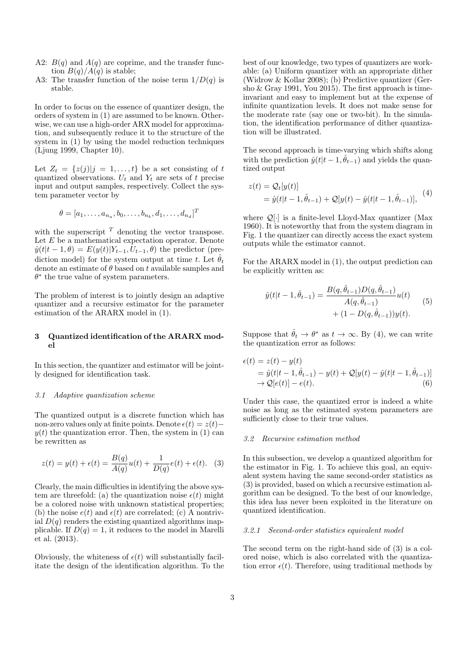- A2:  $B(q)$  and  $A(q)$  are coprime, and the transfer function  $B(q)/A(q)$  is stable;
- A3: The transfer function of the noise term  $1/D(q)$  is stable.

In order to focus on the essence of quantizer design, the orders of system in (1) are assumed to be known. Otherwise, we can use a high-order ARX model for approximation, and subsequently reduce it to the structure of the system in (1) by using the model reduction techniques (Ljung 1999, Chapter 10).

Let  $Z_t = \{z(j) | j = 1, \ldots, t\}$  be a set consisting of *t* quantized observations.  $U_t$  and  $Y_t$  are sets of  $t$  precise input and output samples, respectively. Collect the system parameter vector by

$$
\theta = [a_1, \dots, a_{n_a}, b_0, \dots, b_{n_b}, d_1, \dots, d_{n_d}]^T
$$

with the superscript  $T$  denoting the vector transpose. Let *E* be a mathematical expectation operator. Denote  $\hat{y}(t|t-1, \theta) = E(y(t)|Y_{t-1}, U_{t-1}, \theta)$  the predictor (prediction model) for the system output at time *t*. Let  $\hat{\theta}_t$ denote an estimate of *θ* based on *t* available samples and *θ ∗* the true value of system parameters.

The problem of interest is to jointly design an adaptive quantizer and a recursive estimator for the parameter estimation of the ARARX model in (1).

# **3 Quantized identification of the ARARX model**

In this section, the quantizer and estimator will be jointly designed for identification task.

#### *3.1 Adaptive quantization scheme*

The quantized output is a discrete function which has non-zero values only at finite points. Denote  $\epsilon(t) = z(t)$  $y(t)$  the quantization error. Then, the system in  $(1)$  can be rewritten as

$$
z(t) = y(t) + \epsilon(t) = \frac{B(q)}{A(q)}u(t) + \frac{1}{D(q)}e(t) + \epsilon(t).
$$
 (3)

Clearly, the main difficulties in identifying the above system are threefold: (a) the quantization noise  $\epsilon(t)$  might be a colored noise with unknown statistical properties; (b) the noise  $e(t)$  and  $\epsilon(t)$  are correlated; (c) A nontrivial  $D(q)$  renders the existing quantized algorithms inapplicable. If  $D(q) = 1$ , it reduces to the model in Marelli et al. (2013).

Obviously, the whiteness of  $\epsilon(t)$  will substantially facilitate the design of the identification algorithm. To the

best of our knowledge, two types of quantizers are workable: (a) Uniform quantizer with an appropriate dither (Widrow & Kollar 2008); (b) Predictive quantizer (Gersho & Gray 1991, You 2015). The first approach is timeinvariant and easy to implement but at the expense of infinite quantization levels. It does not make sense for the moderate rate (say one or two-bit). In the simulation, the identification performance of dither quantization will be illustrated.

The second approach is time-varying which shifts along with the prediction  $\hat{y}(t|t-1, \hat{\theta}_{t-1})$  and yields the quantized output

$$
z(t) = Q_t[y(t)]
$$
  
=  $\hat{y}(t|t-1, \hat{\theta}_{t-1}) + Q[y(t) - \hat{y}(t|t-1, \hat{\theta}_{t-1})],$  (4)

where *Q*[*·*] is a finite-level Lloyd-Max quantizer (Max 1960). It is noteworthy that from the system diagram in Fig. 1 the quantizer can directly access the exact system outputs while the estimator cannot.

For the ARARX model in (1), the output prediction can be explicitly written as:

$$
\hat{y}(t|t-1, \hat{\theta}_{t-1}) = \frac{B(q, \hat{\theta}_{t-1})D(q, \hat{\theta}_{t-1})}{A(q, \hat{\theta}_{t-1})}u(t) + (1 - D(q, \hat{\theta}_{t-1}))y(t).
$$
\n(5)

Suppose that  $\hat{\theta}_t \to \theta^*$  as  $t \to \infty$ . By (4), we can write the quantization error as follows:

$$
\epsilon(t) = z(t) - y(t) \n= \hat{y}(t|t - 1, \hat{\theta}_{t-1}) - y(t) + \mathcal{Q}[y(t) - \hat{y}(t|t - 1, \hat{\theta}_{t-1})] \n\to \mathcal{Q}[e(t)] - e(t).
$$
\n(6)

Under this case, the quantized error is indeed a white noise as long as the estimated system parameters are sufficiently close to their true values.

#### *3.2 Recursive estimation method*

In this subsection, we develop a quantized algorithm for the estimator in Fig. 1. To achieve this goal, an equivalent system having the same second-order statistics as (3) is provided, based on which a recursive estimation algorithm can be designed. To the best of our knowledge, this idea has never been exploited in the literature on quantized identification.

#### *3.2.1 Second-order statistics equivalent model*

The second term on the right-hand side of (3) is a colored noise, which is also correlated with the quantization error  $\epsilon(t)$ . Therefore, using traditional methods by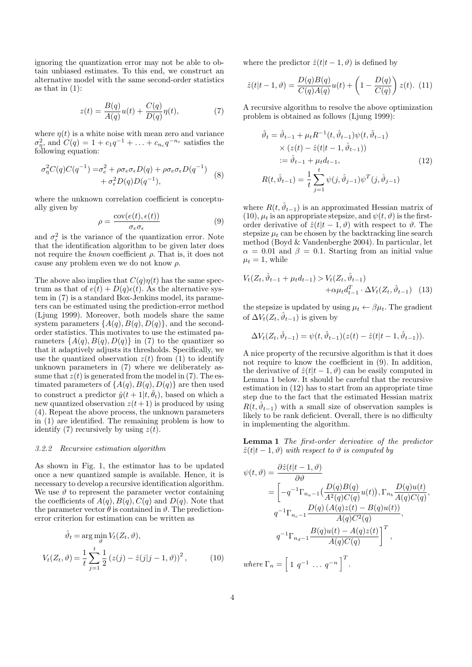ignoring the quantization error may not be able to obtain unbiased estimates. To this end, we construct an alternative model with the same second-order statistics as that in  $(1)$ :

$$
z(t) = \frac{B(q)}{A(q)}u(t) + \frac{C(q)}{D(q)}\eta(t),\tag{7}
$$

where  $\eta(t)$  is a white noise with mean zero and variance  $\sigma_{\eta}^2$ , and  $C(q) = 1 + c_1 q^{-1} + \ldots + c_{n_c} q^{-n_c}$  satisfies the following equation:

$$
\sigma_{\eta}^{2} C(q) C(q^{-1}) = \sigma_{e}^{2} + \rho \sigma_{e} \sigma_{\epsilon} D(q) + \rho \sigma_{e} \sigma_{\epsilon} D(q^{-1}) + \sigma_{\epsilon}^{2} D(q) D(q^{-1}), \tag{8}
$$

where the unknown correlation coefficient is conceptually given by

$$
\rho = \frac{\text{cov}(e(t), \epsilon(t))}{\sigma_e \sigma_{\epsilon}} \tag{9}
$$

and  $\sigma_{\epsilon}^2$  is the variance of the quantization error. Note that the identification algorithm to be given later does not require the *known* coefficient  $\rho$ . That is, it does not cause any problem even we do not know *ρ*.

The above also implies that  $C(q)\eta(t)$  has the same spectrum as that of  $e(t) + D(q)\epsilon(t)$ . As the alternative system in (7) is a standard Box-Jenkins model, its parameters can be estimated using the prediction-error method (Ljung 1999). Moreover, both models share the same system parameters  $\{A(q), B(q), D(q)\}$ , and the secondorder statistics. This motivates to use the estimated parameters  $\{A(q), B(q), D(q)\}\$ in (7) to the quantizer so that it adaptively adjusts its thresholds. Specifically, we use the quantized observation  $z(t)$  from  $(1)$  to identify unknown parameters in (7) where we deliberately assume that  $z(t)$  is generated from the model in (7). The estimated parameters of  $\{A(q), B(q), D(q)\}$  are then used to construct a predictor  $\hat{y}(t+1|t, \hat{\theta}_t)$ , based on which a new quantized observation  $z(t+1)$  is produced by using (4). Repeat the above process, the unknown parameters in (1) are identified. The remaining problem is how to identify (7) recursively by using  $z(t)$ .

#### *3.2.2 Recursive estimation algorithm*

As shown in Fig. 1, the estimator has to be updated once a new quantized sample is available. Hence, it is necessary to develop a recursive identification algorithm. We use  $\vartheta$  to represent the parameter vector containing the coefficients of  $A(q), B(q), C(q)$  and  $D(q)$ . Note that the parameter vector  $\theta$  is contained in  $\vartheta$ . The predictionerror criterion for estimation can be written as

$$
\hat{\vartheta}_t = \arg \min_{\vartheta} V_t(Z_t, \vartheta), V_t(Z_t, \vartheta) = \frac{1}{t} \sum_{j=1}^t \frac{1}{2} (z(j) - \hat{z}(j|j-1, \vartheta))^2, \tag{10}
$$

where the predictor  $\hat{z}(t|t-1, \vartheta)$  is defined by

$$
\hat{z}(t|t-1,\vartheta) = \frac{D(q)B(q)}{C(q)A(q)}u(t) + \left(1 - \frac{D(q)}{C(q)}\right)z(t). \tag{11}
$$

A recursive algorithm to resolve the above optimization problem is obtained as follows (Ljung 1999):

$$
\hat{\vartheta}_{t} = \hat{\vartheta}_{t-1} + \mu_{t} R^{-1}(t, \hat{\vartheta}_{t-1}) \psi(t, \hat{\vartheta}_{t-1}) \n\times (z(t) - \hat{z}(t|t-1, \hat{\vartheta}_{t-1})) \n:= \hat{\vartheta}_{t-1} + \mu_{t} d_{t-1},
$$
\n(12)  
\n
$$
R(t, \hat{\vartheta}_{t-1}) = \frac{1}{t} \sum_{j=1}^{t} \psi(j, \hat{\vartheta}_{j-1}) \psi^{T}(j, \hat{\vartheta}_{j-1})
$$

where  $R(t, \hat{\vartheta}_{t-1})$  is an approximated Hessian matrix of  $(10)$ ,  $\mu_t$  is an appropriate stepsize, and  $\psi(t, \vartheta)$  is the firstorder derivative of  $\hat{z}(t|t-1, \vartheta)$  with respect to  $\vartheta$ . The stepsize  $\mu_t$  can be chosen by the backtracking line search method (Boyd & Vandenberghe 2004). In particular, let  $\alpha = 0.01$  and  $\beta = 0.1$ . Starting from an initial value  $\mu_t = 1$ , while

$$
V_t(Z_t, \hat{\vartheta}_{t-1} + \mu_t d_{t-1}) > V_t(Z_t, \hat{\vartheta}_{t-1}) + \alpha \mu_t d_{t-1}^T \cdot \Delta V_t(Z_t, \hat{\vartheta}_{t-1})
$$
(13)

the stepsize is updated by using  $\mu_t \leftarrow \beta \mu_t$ . The gradient of  $\Delta V_t(Z_t, \hat{\vartheta}_{t-1})$  is given by

$$
\Delta V_t(Z_t, \hat{\vartheta}_{t-1}) = \psi(t, \hat{\vartheta}_{t-1})(z(t) - \hat{z}(t|t-1, \hat{\vartheta}_{t-1})).
$$

A nice property of the recursive algorithm is that it does not require to know the coefficient in (9). In addition, the derivative of  $\hat{z}(t|t-1, \vartheta)$  can be easily computed in Lemma 1 below. It should be careful that the recursive estimation in (12) has to start from an appropriate time step due to the fact that the estimated Hessian matrix  $R(t, \hat{\vartheta}_{t-1})$  with a small size of observation samples is likely to be rank deficient. Overall, there is no difficulty in implementing the algorithm.

**Lemma 1** *The first-order derivative of the predictor*  $\hat{z}(t|t-1, \vartheta)$  *with respect to*  $\vartheta$  *is computed by* 

$$
\psi(t,\vartheta) = \frac{\partial \hat{z}(t|t-1,\vartheta)}{\partial \vartheta}
$$
  
\n
$$
= \left[ -q^{-1} \Gamma_{n_a-1} \left( \frac{D(q)B(q)}{A^2(q)C(q)} u(t) \right), \Gamma_{n_b} \frac{D(q)u(t)}{A(q)C(q)}, \right.
$$
  
\n
$$
q^{-1} \Gamma_{n_c-1} \frac{D(q) (A(q)z(t) - B(q)u(t))}{A(q)C^2(q)},
$$
  
\n
$$
q^{-1} \Gamma_{n_d-1} \frac{B(q)u(t) - A(q)z(t)}{A(q)C(q)} \right]^T,
$$

*where*  $\Gamma_n = \left[1 \ q^{-1} \ \ldots \ q^{-n}\right]^T$ .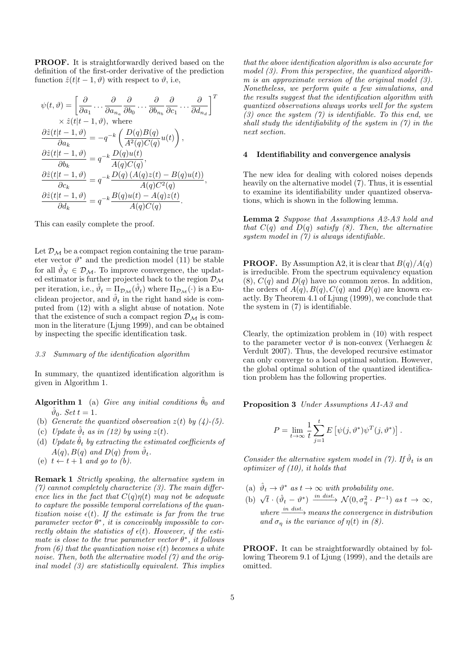**PROOF.** It is straightforwardly derived based on the definition of the first-order derivative of the prediction function  $\hat{z}(t|t-1, \vartheta)$  with respect to  $\vartheta$ , i.e,

$$
\psi(t,\vartheta) = \left[\frac{\partial}{\partial a_1} \cdots \frac{\partial}{\partial a_{n_a}} \frac{\partial}{\partial b_0} \cdots \frac{\partial}{\partial b_{n_b}} \frac{\partial}{\partial c_1} \cdots \frac{\partial}{\partial d_{n_d}}\right]^T
$$
  
\n
$$
\times \hat{z}(t|t-1,\vartheta), \text{ where}
$$
  
\n
$$
\frac{\partial \hat{z}(t|t-1,\vartheta)}{\partial a_k} = -q^{-k} \left(\frac{D(q)B(q)}{A^2(q)C(q)}u(t)\right),
$$
  
\n
$$
\frac{\partial \hat{z}(t|t-1,\vartheta)}{\partial b_k} = q^{-k} \frac{D(q)u(t)}{A(q)C(q)},
$$
  
\n
$$
\frac{\partial \hat{z}(t|t-1,\vartheta)}{\partial c_k} = q^{-k} \frac{D(q) (A(q)z(t) - B(q)u(t))}{A(q)C^2(q)},
$$
  
\n
$$
\frac{\partial \hat{z}(t|t-1,\vartheta)}{\partial d_k} = q^{-k} \frac{B(q)u(t) - A(q)z(t)}{A(q)C(q)}.
$$

This can easily complete the proof.

Let  $\mathcal{D}_{\mathcal{M}}$  be a compact region containing the true parameter vector  $\vartheta^*$  and the prediction model (11) be stable for all  $\hat{\vartheta}_N \in \mathcal{D}_M$ . To improve convergence, the updated estimator is further projected back to the region *D<sup>M</sup>* per iteration, i.e.,  $\hat{\vartheta}_t = \Pi_{\mathcal{D}_\mathcal{M}}(\hat{\vartheta}_t)$  where  $\Pi_{\mathcal{D}_\mathcal{M}}(\cdot)$  is a Euclidean projector, and  $\hat{\vartheta}_t$  in the right hand side is computed from (12) with a slight abuse of notation. Note that the existence of such a compact region  $\mathcal{D}_M$  is common in the literature (Ljung 1999), and can be obtained by inspecting the specific identification task.

# *3.3 Summary of the identification algorithm*

In summary, the quantized identification algorithm is given in Algorithm 1.

**Algorithm 1** (a) *Give any initial conditions*  $\hat{\theta}_0$  *and*  $\hat{\vartheta}_0$ *. Set*  $t = 1$ *.* 

- (b) *Generate the quantized observation*  $z(t)$  *by* (4)-(5).
- (c) *Update*  $\hat{\vartheta}_t$  *as in (12) by using*  $z(t)$ *.*
- (d) *Update*  $\hat{\theta}_t$  *by extracting the estimated coefficients of*  $A(q), B(q)$  and  $D(q)$  from  $\hat{\vartheta}_t$ .
- (e)  $t \leftarrow t + 1$  *and go to (b)*.

**Remark 1** *Strictly speaking, the alternative system in (7) cannot completely characterize (3). The main difference lies in the fact that*  $C(q)\eta(t)$  *may not be adequate to capture the possible temporal correlations of the quantization noise*  $\epsilon(t)$ *. If the estimate is far from the true*  $parameter vector  $\theta^*$ , it is conceivably impossible to cor$ *rectly obtain the statistics of*  $\epsilon(t)$ *. However, if the estimate is close to the true parameter vector*  $\theta^*$ , *it follows from (6) that the quantization noise*  $\epsilon(t)$  *becomes a white noise. Then, both the alternative model (7) and the original model (3) are statistically equivalent. This implies*

*that the above identification algorithm is also accurate for model (3). From this perspective, the quantized algorithm is an approximate version of the original model (3). Nonetheless, we perform quite a few simulations, and the results suggest that the identification algorithm with quantized observations always works well for the system (3) once the system (7) is identifiable. To this end, we shall study the identifiability of the system in (7) in the next section.*

#### **4 Identifiability and convergence analysis**

The new idea for dealing with colored noises depends heavily on the alternative model (7). Thus, it is essential to examine its identifiability under quantized observations, which is shown in the following lemma.

**Lemma 2** *Suppose that Assumptions A2-A3 hold and that*  $C(q)$  *and*  $D(q)$  *satisfy (8). Then, the alternative system model in (7) is always identifiable.*

**PROOF.** By Assumption A2, it is clear that  $B(q)/A(q)$ is irreducible. From the spectrum equivalency equation  $(8)$ ,  $C(q)$  and  $D(q)$  have no common zeros. In addition, the orders of  $A(q), B(q), C(q)$  and  $D(q)$  are known exactly. By Theorem 4.1 of Ljung (1999), we conclude that the system in (7) is identifiable.

Clearly, the optimization problem in (10) with respect to the parameter vector  $\vartheta$  is non-convex (Verhaegen  $\&$ Verdult 2007). Thus, the developed recursive estimator can only converge to a local optimal solution. However, the global optimal solution of the quantized identification problem has the following properties.

**Proposition 3** *Under Assumptions A1-A3 and*

$$
P = \lim_{t \to \infty} \frac{1}{t} \sum_{j=1}^{t} E\left[\psi(j, \vartheta^*) \psi^T(j, \vartheta^*)\right].
$$

*Consider the alternative system model in (7). If*  $\hat{\vartheta}_t$  *is an optimizer of (10), it holds that*

- 
- (a)  $\hat{\vartheta}_t \to \vartheta^*$  as  $t \to \infty$  with probability one.<br>
(b)  $\sqrt{t} \cdot (\hat{\vartheta}_t \vartheta^*) \xrightarrow{in \; dist.} \mathcal{N}(0, \sigma_{\eta}^2 \cdot P^{-1})$  as  $t \to \infty$ , *where in dist. −−−−→ means the convergence in distribution and*  $\sigma_{\eta}$  *is the variance of*  $\eta(t)$  *in (8).*

**PROOF.** It can be straightforwardly obtained by following Theorem 9.1 of Ljung (1999), and the details are omitted.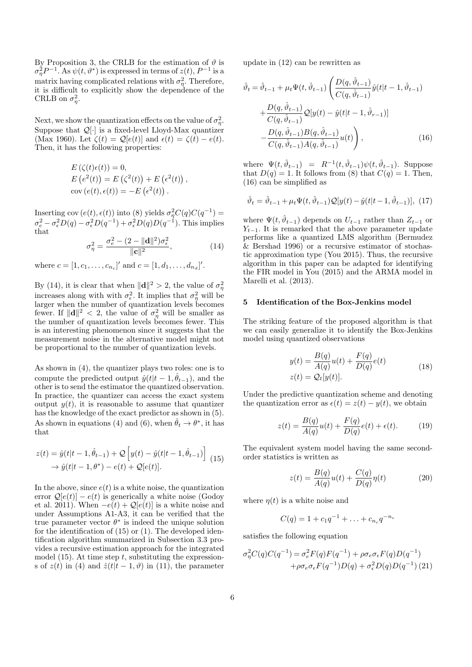By Proposition 3, the CRLB for the estimation of  $\vartheta$  is  $\sigma_{\eta}^2 P^{-1}$ . As  $\psi(t, \vartheta^*)$  is expressed in terms of  $z(t)$ ,  $P^{-1}$  is a matrix having complicated relations with  $\sigma_{\eta}^2$ . Therefore, it is difficult to explicitly show the dependence of the CRLB on  $\sigma_{\eta}^2$ .

Next, we show the quantization effects on the value of  $\sigma_{\eta}^2$ . Suppose that *Q*[*·*] is a fixed-level Lloyd-Max quantizer (Max 1960). Let  $\zeta(t) = \mathcal{Q}[e(t)]$  and  $\epsilon(t) = \zeta(t) - e(t)$ . Then, it has the following properties:

$$
E(\zeta(t)\epsilon(t)) = 0,
$$
  
\n
$$
E(e^{2}(t)) = E(\zeta^{2}(t)) + E(e^{2}(t)),
$$
  
\n
$$
cov(e(t), \epsilon(t)) = -E(e^{2}(t)).
$$

Inserting cov  $(e(t), e(t))$  into (8) yields  $\sigma_{\eta}^2 C(q) C(q^{-1}) =$  $\sigma_e^2 - \sigma_\epsilon^2 D(q) - \sigma_\epsilon^2 D(q^{-1}) + \sigma_\epsilon^2 D(q)D(q^{-1})$ . This implies that

$$
\sigma_{\eta}^{2} = \frac{\sigma_{e}^{2} - (2 - ||\mathbf{d}||^{2})\sigma_{\epsilon}^{2}}{||\mathbf{c}||^{2}},
$$
(14)

where  $c = [1, c_1, \ldots, c_{n_c}]'$  and  $c = [1, d_1, \ldots, d_{n_d}]'$ .

By (14), it is clear that when  $||\mathbf{d}||^2 > 2$ , the value of  $\sigma_{\eta}^2$ increases along with with  $\sigma_{\epsilon}^2$ . It implies that  $\sigma_{\eta}^2$  will be larger when the number of quantization levels becomes fewer. If  $\|\mathbf{d}\|^2 < 2$ , the value of  $\sigma_\eta^2$  will be smaller as the number of quantization levels becomes fewer. This is an interesting phenomenon since it suggests that the measurement noise in the alternative model might not be proportional to the number of quantization levels.

As shown in (4), the quantizer plays two roles: one is to compute the predicted output  $\hat{y}(t|t-1, \hat{\theta}_{t-1})$ , and the other is to send the estimator the quantized observation. In practice, the quantizer can access the exact system output  $y(t)$ , it is reasonable to assume that quantizer has the knowledge of the exact predictor as shown in (5). As shown in equations (4) and (6), when  $\hat{\theta}_t \to \theta^*$ , it has that

$$
z(t) = \hat{y}(t|t-1, \hat{\theta}_{t-1}) + \mathcal{Q}\left[y(t) - \hat{y}(t|t-1, \hat{\theta}_{t-1})\right] \tag{15}
$$

$$
\rightarrow \hat{y}(t|t-1, \theta^*) - e(t) + \mathcal{Q}[e(t)].
$$

In the above, since  $e(t)$  is a white noise, the quantization error  $\mathcal{Q}[e(t)] - e(t)$  is generically a white noise (Godoy et al. 2011). When  $-e(t) + \mathcal{Q}[e(t)]$  is a white noise and under Assumptions A1-A3, it can be verified that the true parameter vector  $\theta^*$  is indeed the unique solution for the identification of (15) or (1). The developed identification algorithm summarized in Subsection 3.3 provides a recursive estimation approach for the integrated model (15). At time step *t*, substituting the expressions of  $z(t)$  in (4) and  $\hat{z}(t|t-1, \vartheta)$  in (11), the parameter update in (12) can be rewritten as

$$
\hat{\vartheta}_{t} = \hat{\vartheta}_{t-1} + \mu_{t} \Psi(t, \hat{\vartheta}_{t-1}) \left( \frac{D(q, \hat{\vartheta}_{t-1})}{C(q, \hat{\vartheta}_{t-1})} \hat{y}(t | t-1, \hat{\vartheta}_{t-1}) + \frac{D(q, \hat{\vartheta}_{t-1})}{C(q, \hat{\vartheta}_{t-1})} \mathcal{Q}[y(t) - \hat{y}(t | t-1, \hat{\vartheta}_{r-1})] - \frac{D(q, \hat{\vartheta}_{t-1}) B(q, \hat{\vartheta}_{t-1})}{C(q, \hat{\vartheta}_{t-1}) A(q, \hat{\vartheta}_{t-1})} u(t) \right),
$$
\n(16)

where  $\Psi(t, \hat{\vartheta}_{t-1}) = R^{-1}(t, \hat{\vartheta}_{t-1})\psi(t, \hat{\vartheta}_{t-1})$ . Suppose that  $D(q) = 1$ . It follows from (8) that  $C(q) = 1$ . Then, (16) can be simplified as

$$
\hat{\vartheta}_t = \hat{\vartheta}_{t-1} + \mu_t \Psi(t, \hat{\vartheta}_{t-1}) \mathcal{Q}[y(t) - \hat{y}(t|t-1, \hat{\vartheta}_{t-1})], \tag{17}
$$

where  $\Psi(t, \hat{\vartheta}_{t-1})$  depends on  $U_{t-1}$  rather than  $Z_{t-1}$  or  $Y_{t-1}$ . It is remarked that the above parameter update performs like a quantized LMS algorithm (Bermudez & Bershad 1996) or a recursive estimator of stochastic approximation type (You 2015). Thus, the recursive algorithm in this paper can be adapted for identifying the FIR model in You (2015) and the ARMA model in Marelli et al. (2013).

# **5 Identification of the Box-Jenkins model**

The striking feature of the proposed algorithm is that we can easily generalize it to identify the Box-Jenkins model using quantized observations

$$
y(t) = \frac{B(q)}{A(q)}u(t) + \frac{F(q)}{D(q)}e(t)
$$
  
\n
$$
z(t) = Q_t[y(t)].
$$
\n(18)

Under the predictive quantization scheme and denoting the quantization error as  $\epsilon(t) = z(t) - y(t)$ , we obtain

$$
z(t) = \frac{B(q)}{A(q)}u(t) + \frac{F(q)}{D(q)}e(t) + \epsilon(t).
$$
 (19)

The equivalent system model having the same secondorder statistics is written as

$$
z(t) = \frac{B(q)}{A(q)}u(t) + \frac{C(q)}{D(q)}\eta(t)
$$
\n
$$
(20)
$$

where  $n(t)$  is a white noise and

$$
C(q) = 1 + c_1 q^{-1} + \ldots + c_{n_c} q^{-n_c}
$$

satisfies the following equation

$$
\sigma_{\eta}^{2}C(q)C(q^{-1}) = \sigma_{e}^{2}F(q)F(q^{-1}) + \rho\sigma_{e}\sigma_{\epsilon}F(q)D(q^{-1})
$$

$$
+ \rho\sigma_{e}\sigma_{\epsilon}F(q^{-1})D(q) + \sigma_{e}^{2}D(q)D(q^{-1})
$$
(21)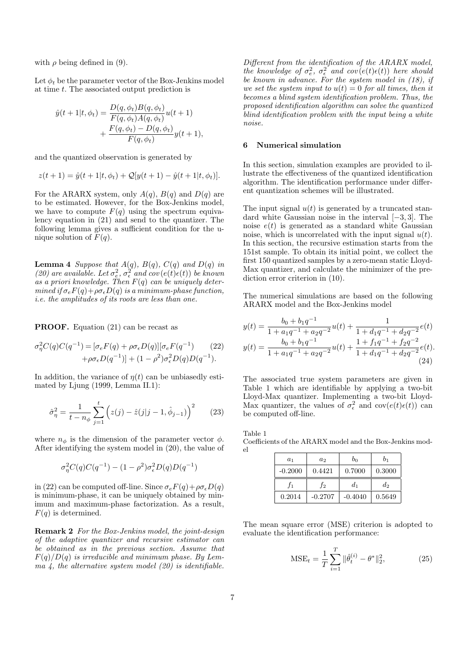with  $\rho$  being defined in (9).

Let  $\phi_t$  be the parameter vector of the Box-Jenkins model at time *t*. The associated output prediction is

$$
\hat{y}(t+1|t,\phi_t) = \frac{D(q,\phi_t)B(q,\phi_t)}{F(q,\phi_t)A(q,\phi_t)}u(t+1) + \frac{F(q,\phi_t) - D(q,\phi_t)}{F(q,\phi_t)}y(t+1),
$$

and the quantized observation is generated by

$$
z(t+1) = \hat{y}(t+1|t, \phi_t) + \mathcal{Q}[y(t+1) - \hat{y}(t+1|t, \phi_t)].
$$

For the ARARX system, only  $A(q)$ ,  $B(q)$  and  $D(q)$  are to be estimated. However, for the Box-Jenkins model, we have to compute  $F(q)$  using the spectrum equivalency equation in (21) and send to the quantizer. The following lemma gives a sufficient condition for the unique solution of  $F(q)$ .

**Lemma 4** *Suppose that*  $A(q)$ *,*  $B(q)$ *,*  $C(q)$  *and*  $D(q)$  *in* (20) are available. Let  $\sigma_e^2$ ,  $\sigma_{\epsilon}^2$  and cov $(e(t)\epsilon(t))$  be known *as a priori knowledge. Then F*(*q*) *can be uniquely determined if*  $\sigma_e F(q) + \rho \sigma_{\epsilon} D(q)$  *is a minimum-phase function, i.e. the amplitudes of its roots are less than one.*

**PROOF.** Equation (21) can be recast as

$$
\sigma_{\eta}^2 C(q) C(q^{-1}) = [\sigma_e F(q) + \rho \sigma_{\epsilon} D(q)][\sigma_e F(q^{-1}) \qquad (22)
$$

$$
+ \rho \sigma_{\epsilon} D(q^{-1})] + (1 - \rho^2) \sigma_{\epsilon}^2 D(q) D(q^{-1}).
$$

In addition, the variance of  $\eta(t)$  can be unbiasedly estimated by Ljung (1999, Lemma II.1):

$$
\hat{\sigma}_{\eta}^{2} = \frac{1}{t - n_{\phi}} \sum_{j=1}^{t} \left( z(j) - \hat{z}(j|j-1, \hat{\phi}_{j-1}) \right)^{2} \tag{23}
$$

where  $n_{\phi}$  is the dimension of the parameter vector  $\phi$ . After identifying the system model in (20), the value of

$$
\sigma_{\eta}^{2} C(q) C(q^{-1}) - (1 - \rho^{2}) \sigma_{\epsilon}^{2} D(q) D(q^{-1})
$$

in (22) can be computed off-line. Since  $\sigma_e F(q) + \rho \sigma_{\epsilon} D(q)$ is minimum-phase, it can be uniquely obtained by minimum and maximum-phase factorization. As a result,  $F(q)$  is determined.

**Remark 2** *For the Box-Jenkins model, the joint-design of the adaptive quantizer and recursive estimator can be obtained as in the previous section. Assume that*  $F(q)/D(q)$  *is irreducible and minimum phase. By Lemma 4, the alternative system model (20) is identifiable.*

*Different from the identification of the ARARX model, the knowledge of*  $\sigma_e^2$ ,  $\sigma_{\epsilon}^2$  *and cov*  $(e(t)\epsilon(t))$  *here should be known in advance. For the system model in (18), if we set the system input to*  $u(t) = 0$  *for all times, then it becomes a blind system identification problem. Thus, the proposed identification algorithm can solve the quantized blind identification problem with the input being a white noise.*

## **6 Numerical simulation**

In this section, simulation examples are provided to illustrate the effectiveness of the quantized identification algorithm. The identification performance under different quantization schemes will be illustrated.

The input signal  $u(t)$  is generated by a truncated standard white Gaussian noise in the interval [*−*3*,* 3]. The noise  $e(t)$  is generated as a standard white Gaussian noise, which is uncorrelated with the input signal *u*(*t*). In this section, the recursive estimation starts from the 151st sample. To obtain its initial point, we collect the first 150 quantized samples by a zero-mean static Lloyd-Max quantizer, and calculate the minimizer of the prediction error criterion in (10).

The numerical simulations are based on the following ARARX model and the Box-Jenkins model

$$
y(t) = \frac{b_0 + b_1 q^{-1}}{1 + a_1 q^{-1} + a_2 q^{-2}} u(t) + \frac{1}{1 + d_1 q^{-1} + d_2 q^{-2}} e(t)
$$
  

$$
y(t) = \frac{b_0 + b_1 q^{-1}}{1 + a_1 q^{-1} + a_2 q^{-2}} u(t) + \frac{1 + f_1 q^{-1} + f_2 q^{-2}}{1 + d_1 q^{-1} + d_2 q^{-2}} e(t).
$$
(24)

The associated true system parameters are given in Table 1 which are identifiable by applying a two-bit Lloyd-Max quantizer. Implementing a two-bit Lloyd-Max quantizer, the values of  $\sigma_{\epsilon}^2$  and  $cov(e(t)\epsilon(t))$  can be computed off-line.

Table 1 Coefficients of the ARARX model and the Box-Jenkins model

| a <sub>1</sub> | a <sub>2</sub> | bο     |        |
|----------------|----------------|--------|--------|
| $-0.2000$      | 0.4421         | 0.7000 | 0.3000 |
| Т1             | Ť2             | $d_1$  | $d_2$  |
|                |                |        |        |

The mean square error (MSE) criterion is adopted to evaluate the identification performance:

$$
\text{MSE}_t = \frac{1}{T} \sum_{i=1}^T \|\hat{\theta}_t^{(i)} - \theta^*\|_2^2, \tag{25}
$$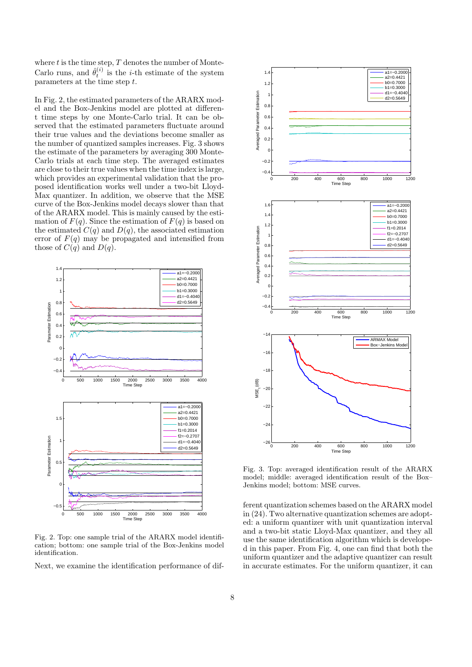where  $t$  is the time step,  $T$  denotes the number of Monte-Carlo runs, and  $\hat{\theta}_t^{(i)}$  is the *i*-th estimate of the system parameters at the time step *t*.

In Fig. 2, the estimated parameters of the ARARX model and the Box-Jenkins model are plotted at different time steps by one Monte-Carlo trial. It can be observed that the estimated parameters fluctuate around their true values and the deviations become smaller as the number of quantized samples increases. Fig. 3 shows the estimate of the parameters by averaging 300 Monte-Carlo trials at each time step. The averaged estimates are close to their true values when the time index is large, which provides an experimental validation that the proposed identification works well under a two-bit Lloyd-Max quantizer. In addition, we observe that the MSE curve of the Box-Jenkins model decays slower than that of the ARARX model. This is mainly caused by the estimation of  $F(q)$ . Since the estimation of  $F(q)$  is based on the estimated  $C(q)$  and  $D(q)$ , the associated estimation error of  $F(q)$  may be propagated and intensified from those of  $C(q)$  and  $D(q)$ .



Fig. 2. Top: one sample trial of the ARARX model identification; bottom: one sample trial of the Box-Jenkins model identification.

Next, we examine the identification performance of dif-



Fig. 3. Top: averaged identification result of the ARARX model; middle: averaged identification result of the Box– Jenkins model; bottom: MSE curves.

ferent quantization schemes based on the ARARX model in (24). Two alternative quantization schemes are adopted: a uniform quantizer with unit quantization interval and a two-bit static Lloyd-Max quantizer, and they all use the same identification algorithm which is developed in this paper. From Fig. 4, one can find that both the uniform quantizer and the adaptive quantizer can result in accurate estimates. For the uniform quantizer, it can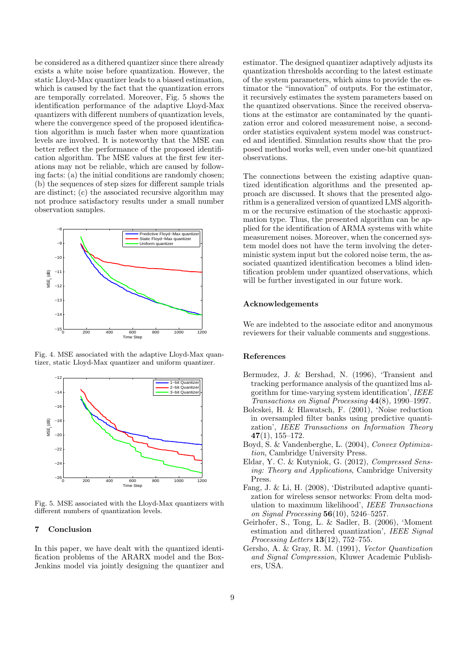be considered as a dithered quantizer since there already exists a white noise before quantization. However, the static Lloyd-Max quantizer leads to a biased estimation, which is caused by the fact that the quantization errors are temporally correlated. Moreover, Fig. 5 shows the identification performance of the adaptive Lloyd-Max quantizers with different numbers of quantization levels, where the convergence speed of the proposed identification algorithm is much faster when more quantization levels are involved. It is noteworthy that the MSE can better reflect the performance of the proposed identification algorithm. The MSE values at the first few iterations may not be reliable, which are caused by following facts: (a) the initial conditions are randomly chosen; (b) the sequences of step sizes for different sample trials are distinct; (c) the associated recursive algorithm may not produce satisfactory results under a small number observation samples.



Fig. 4. MSE associated with the adaptive Lloyd-Max quantizer, static Lloyd-Max quantizer and uniform quantizer.



Fig. 5. MSE associated with the Lloyd-Max quantizers with different numbers of quantization levels.

# **7 Conclusion**

In this paper, we have dealt with the quantized identification problems of the ARARX model and the Box-Jenkins model via jointly designing the quantizer and

estimator. The designed quantizer adaptively adjusts its quantization thresholds according to the latest estimate of the system parameters, which aims to provide the estimator the "innovation" of outputs. For the estimator, it recursively estimates the system parameters based on the quantized observations. Since the received observations at the estimator are contaminated by the quantization error and colored measurement noise, a secondorder statistics equivalent system model was constructed and identified. Simulation results show that the proposed method works well, even under one-bit quantized observations.

The connections between the existing adaptive quantized identification algorithms and the presented approach are discussed. It shows that the presented algorithm is a generalized version of quantized LMS algorithm or the recursive estimation of the stochastic approximation type. Thus, the presented algorithm can be applied for the identification of ARMA systems with white measurement noises. Moreover, when the concerned system model does not have the term involving the deterministic system input but the colored noise term, the associated quantized identification becomes a blind identification problem under quantized observations, which will be further investigated in our future work.

#### **Acknowledgements**

We are indebted to the associate editor and anonymous reviewers for their valuable comments and suggestions.

#### **References**

- Bermudez, J. & Bershad, N. (1996), 'Transient and tracking performance analysis of the quantized lms algorithm for time-varying system identification', *IEEE Transactions on Signal Processing* **44**(8), 1990–1997.
- Bolcskei, H. & Hlawatsch, F. (2001), 'Noise reduction in oversampled filter banks using predictive quantization', *IEEE Transactions on Information Theory* **47**(1), 155–172.
- Boyd, S. & Vandenberghe, L. (2004), *Convex Optimization*, Cambridge University Press.
- Eldar, Y. C. & Kutyniok, G. (2012), *Compressed Sensing: Theory and Applications*, Cambridge University Press.
- Fang, J. & Li, H. (2008), 'Distributed adaptive quantization for wireless sensor networks: From delta modulation to maximum likelihood', *IEEE Transactions on Signal Processing* **56**(10), 5246–5257.
- Geirhofer, S., Tong, L. & Sadler, B. (2006), 'Moment estimation and dithered quantization', *IEEE Signal Processing Letters* **13**(12), 752–755.
- Gersho, A. & Gray, R. M. (1991), *Vector Quantization and Signal Compression*, Kluwer Academic Publishers, USA.